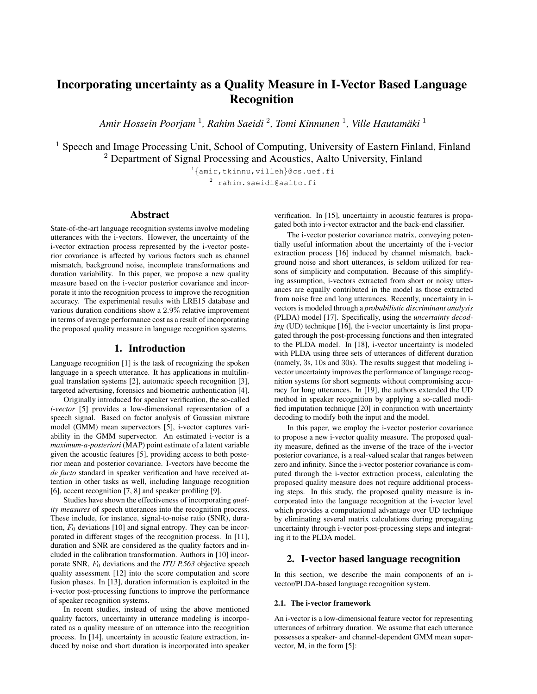# Incorporating uncertainty as a Quality Measure in I-Vector Based Language Recognition

*Amir Hossein Poorjam* <sup>1</sup> *, Rahim Saeidi* <sup>2</sup> *, Tomi Kinnunen* <sup>1</sup> *, Ville Hautamaki ¨* 1

<sup>1</sup> Speech and Image Processing Unit, School of Computing, University of Eastern Finland, Finland <sup>2</sup> Department of Signal Processing and Acoustics, Aalto University, Finland

> 1 {amir,tkinnu,villeh}@cs.uef.fi <sup>2</sup> rahim.saeidi@aalto.fi

# Abstract

State-of-the-art language recognition systems involve modeling utterances with the i-vectors. However, the uncertainty of the i-vector extraction process represented by the i-vector posterior covariance is affected by various factors such as channel mismatch, background noise, incomplete transformations and duration variability. In this paper, we propose a new quality measure based on the i-vector posterior covariance and incorporate it into the recognition process to improve the recognition accuracy. The experimental results with LRE15 database and various duration conditions show a 2.9% relative improvement in terms of average performance cost as a result of incorporating the proposed quality measure in language recognition systems.

# 1. Introduction

Language recognition [1] is the task of recognizing the spoken language in a speech utterance. It has applications in multilingual translation systems [2], automatic speech recognition [3], targeted advertising, forensics and biometric authentication [4].

Originally introduced for speaker verification, the so-called *i-vector* [5] provides a low-dimensional representation of a speech signal. Based on factor analysis of Gaussian mixture model (GMM) mean supervectors [5], i-vector captures variability in the GMM supervector. An estimated i-vector is a *maximum-a-posteriori* (MAP) point estimate of a latent variable given the acoustic features [5], providing access to both posterior mean and posterior covariance. I-vectors have become the *de facto* standard in speaker verification and have received attention in other tasks as well, including language recognition [6], accent recognition [7, 8] and speaker profiling [9].

Studies have shown the effectiveness of incorporating *quality measures* of speech utterances into the recognition process. These include, for instance, signal-to-noise ratio (SNR), duration,  $F_0$  deviations [10] and signal entropy. They can be incorporated in different stages of the recognition process. In [11], duration and SNR are considered as the quality factors and included in the calibration transformation. Authors in [10] incorporate SNR, F<sup>0</sup> deviations and the *ITU P.563* objective speech quality assessment [12] into the score computation and score fusion phases. In [13], duration information is exploited in the i-vector post-processing functions to improve the performance of speaker recognition systems.

In recent studies, instead of using the above mentioned quality factors, uncertainty in utterance modeling is incorporated as a quality measure of an utterance into the recognition process. In [14], uncertainty in acoustic feature extraction, induced by noise and short duration is incorporated into speaker verification. In [15], uncertainty in acoustic features is propagated both into i-vector extractor and the back-end classifier.

The i-vector posterior covariance matrix, conveying potentially useful information about the uncertainty of the i-vector extraction process [16] induced by channel mismatch, background noise and short utterances, is seldom utilized for reasons of simplicity and computation. Because of this simplifying assumption, i-vectors extracted from short or noisy utterances are equally contributed in the model as those extracted from noise free and long utterances. Recently, uncertainty in ivectors is modeled through a *probabilistic discriminant analysis* (PLDA) model [17]. Specifically, using the *uncertainty decoding* (UD) technique [16], the *i*-vector uncertainty is first propagated through the post-processing functions and then integrated to the PLDA model. In [18], i-vector uncertainty is modeled with PLDA using three sets of utterances of different duration (namely, 3s, 10s and 30s). The results suggest that modeling ivector uncertainty improves the performance of language recognition systems for short segments without compromising accuracy for long utterances. In [19], the authors extended the UD method in speaker recognition by applying a so-called modified imputation technique [20] in conjunction with uncertainty decoding to modify both the input and the model.

In this paper, we employ the i-vector posterior covariance to propose a new i-vector quality measure. The proposed quality measure, defined as the inverse of the trace of the i-vector posterior covariance, is a real-valued scalar that ranges between zero and infinity. Since the i-vector posterior covariance is computed through the i-vector extraction process, calculating the proposed quality measure does not require additional processing steps. In this study, the proposed quality measure is incorporated into the language recognition at the i-vector level which provides a computational advantage over UD technique by eliminating several matrix calculations during propagating uncertainty through i-vector post-processing steps and integrating it to the PLDA model.

# 2. I-vector based language recognition

In this section, we describe the main components of an ivector/PLDA-based language recognition system.

#### 2.1. The i-vector framework

An i-vector is a low-dimensional feature vector for representing utterances of arbitrary duration. We assume that each utterance possesses a speaker- and channel-dependent GMM mean supervector, M, in the form [5]: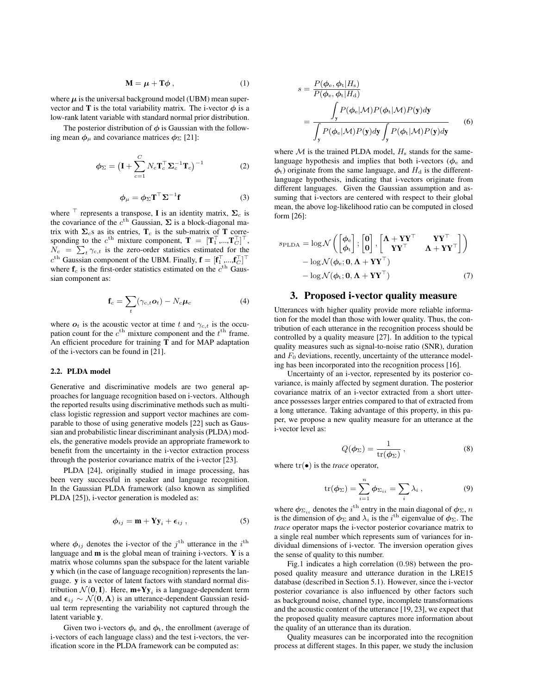$$
\mathbf{M} = \boldsymbol{\mu} + \mathbf{T}\boldsymbol{\phi} \,, \tag{1}
$$

where  $\mu$  is the universal background model (UBM) mean supervector and **T** is the total variability matrix. The i-vector  $\phi$  is a low-rank latent variable with standard normal prior distribution.

The posterior distribution of  $\phi$  is Gaussian with the following mean  $\phi_{\mu}$  and covariance matrices  $\phi_{\Sigma}$  [21]:

$$
\phi_{\Sigma} = \left(\mathbf{I} + \sum_{c=1}^{C} N_c \mathbf{T}_c^{\top} \mathbf{\Sigma}_c^{-1} \mathbf{T}_c\right)^{-1}
$$
(2)

$$
\phi_{\mu} = \phi_{\Sigma} \mathbf{T}^{\top} \Sigma^{-1} \mathbf{f}
$$
 (3)

where  $\top$  represents a transpose, **I** is an identity matrix,  $\Sigma_c$  is the covariance of the  $c^{\text{th}}$  Gaussian,  $\Sigma$  is a block-diagonal matrix with  $\Sigma_c$ s as its entries,  $T_c$  is the sub-matrix of T corresponding to the  $c^{\text{th}}$  mixture component,  $\mathbf{T} = [\mathbf{T}_1^{\top}, ..., \mathbf{T}_C^{\top}]^{\top}$ ,  $N_c = \sum_t \gamma_{c,t}$  is the zero-order statistics estimated for the  $c^{\text{th}}$  Gaussian component of the UBM. Finally,  $\mathbf{f} = [\mathbf{f}_1^\top, ..., \mathbf{f}_C^\top]^\top$ where  $f_c$  is the first-order statistics estimated on the  $c<sup>th</sup>$  Gaussian component as:

$$
\mathbf{f}_c = \sum_t (\gamma_{c,t} \mathbf{o}_t) - N_c \boldsymbol{\mu}_c \tag{4}
$$

where  $o_t$  is the acoustic vector at time t and  $\gamma_{c,t}$  is the occupation count for the  $c^{\text{th}}$  mixture component and the  $t^{\text{th}}$  frame. An efficient procedure for training T and for MAP adaptation of the i-vectors can be found in [21].

#### 2.2. PLDA model

Generative and discriminative models are two general approaches for language recognition based on i-vectors. Although the reported results using discriminative methods such as multiclass logistic regression and support vector machines are comparable to those of using generative models [22] such as Gaussian and probabilistic linear discriminant analysis (PLDA) models, the generative models provide an appropriate framework to benefit from the uncertainty in the i-vector extraction process through the posterior covariance matrix of the i-vector [23].

PLDA [24], originally studied in image processing, has been very successful in speaker and language recognition. In the Gaussian PLDA framework (also known as simplified PLDA [25]), i-vector generation is modeled as:

$$
\phi_{ij} = \mathbf{m} + \mathbf{Y} \mathbf{y}_i + \boldsymbol{\epsilon}_{ij} \,, \tag{5}
$$

where  $\phi_{ij}$  denotes the i-vector of the  $j^{\text{th}}$  utterance in the  $i^{\text{th}}$ language and m is the global mean of training i-vectors. Y is a matrix whose columns span the subspace for the latent variable y which (in the case of language recognition) represents the language. y is a vector of latent factors with standard normal distribution  $\mathcal{N}(\mathbf{0},\mathbf{I})$ . Here,  $\mathbf{m+Yy}_i$  is a language-dependent term and  $\epsilon_{ij} \sim \mathcal{N} (\mathbf{0}, \mathbf{\Lambda})$  is an utterance-dependent Gaussian residual term representing the variability not captured through the latent variable y.

Given two i-vectors  $\phi_e$  and  $\phi_t$ , the enrollment (average of i-vectors of each language class) and the test i-vectors, the verification score in the PLDA framework can be computed as:

$$
s = \frac{P(\phi_{e}, \phi_{t}|H_{s})}{P(\phi_{e}, \phi_{t}|H_{d})}
$$
  
= 
$$
\frac{\int_{y} P(\phi_{e}|M)P(\phi_{t}|M)P(y)dy}{\int_{y} P(\phi_{e}|M)P(y)dy \int_{y} P(\phi_{t}|M)P(y)dy}
$$
(6)

where  $\mathcal M$  is the trained PLDA model,  $H_s$  stands for the samelanguage hypothesis and implies that both i-vectors ( $\phi_e$  and  $\phi$ <sub>t</sub>) originate from the same language, and  $H_d$  is the differentlanguage hypothesis, indicating that i-vectors originate from different languages. Given the Gaussian assumption and assuming that i-vectors are centered with respect to their global mean, the above log-likelihood ratio can be computed in closed form [26]:

$$
s_{\text{PLDA}} = \log \mathcal{N}\left(\begin{bmatrix} \phi_e \\ \phi_t \end{bmatrix}; \begin{bmatrix} \mathbf{0} \\ \mathbf{0} \end{bmatrix}, \begin{bmatrix} \mathbf{\Lambda} + \mathbf{Y} \mathbf{Y}^{\top} & \mathbf{Y} \mathbf{Y}^{\top} \\ \mathbf{Y} \mathbf{Y}^{\top} & \mathbf{\Lambda} + \mathbf{Y} \mathbf{Y}^{\top} \end{bmatrix}\right) - \log \mathcal{N}(\phi_e; \mathbf{0}, \mathbf{\Lambda} + \mathbf{Y} \mathbf{Y}^{\top}) - \log \mathcal{N}(\phi_t; \mathbf{0}, \mathbf{\Lambda} + \mathbf{Y} \mathbf{Y}^{\top})
$$
(7)

#### 3. Proposed i-vector quality measure

Utterances with higher quality provide more reliable information for the model than those with lower quality. Thus, the contribution of each utterance in the recognition process should be controlled by a quality measure [27]. In addition to the typical quality measures such as signal-to-noise ratio (SNR), duration and  $F_0$  deviations, recently, uncertainty of the utterance modeling has been incorporated into the recognition process [16].

Uncertainty of an i-vector, represented by its posterior covariance, is mainly affected by segment duration. The posterior covariance matrix of an i-vector extracted from a short utterance possesses larger entries compared to that of extracted from a long utterance. Taking advantage of this property, in this paper, we propose a new quality measure for an utterance at the i-vector level as:

$$
Q(\phi_{\Sigma}) = \frac{1}{\text{tr}(\phi_{\Sigma})},\tag{8}
$$

where  $tr(\bullet)$  is the *trace* operator,

$$
\text{tr}(\phi_{\Sigma}) = \sum_{i=1}^{n} \phi_{\Sigma_{ii}} = \sum_{i} \lambda_i , \qquad (9)
$$

where  $\phi_{\Sigma_{ii}}$  denotes the  $i^{\text{th}}$  entry in the main diagonal of  $\phi_{\Sigma}$ ,  $n$ is the dimension of  $\phi_{\Sigma}$  and  $\lambda_i$  is the i<sup>th</sup> eigenvalue of  $\phi_{\Sigma}$ . The *trace* operator maps the i-vector posterior covariance matrix to a single real number which represents sum of variances for individual dimensions of i-vector. The inversion operation gives the sense of quality to this number.

Fig.1 indicates a high correlation (0.98) between the proposed quality measure and utterance duration in the LRE15 database (described in Section 5.1). However, since the i-vector posterior covariance is also influenced by other factors such as background noise, channel type, incomplete transformations and the acoustic content of the utterance [19, 23], we expect that the proposed quality measure captures more information about the quality of an utterance than its duration.

Quality measures can be incorporated into the recognition process at different stages. In this paper, we study the inclusion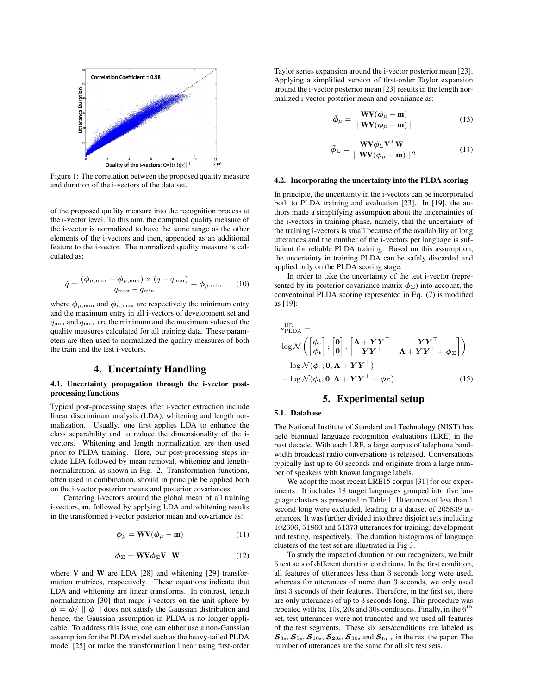

Figure 1: The correlation between the proposed quality measure and duration of the i-vectors of the data set.

of the proposed quality measure into the recognition process at the i-vector level. To this aim, the computed quality measure of the i-vector is normalized to have the same range as the other elements of the i-vectors and then, appended as an additional feature to the i-vector. The normalized quality measure is calculated as:

$$
\hat{q} = \frac{(\phi_{\mu,\max} - \phi_{\mu,\min}) \times (q - q_{\min})}{q_{\max} - q_{\min}} + \phi_{\mu,\min} \qquad (10)
$$

where  $\phi_{\mu, \text{min}}$  and  $\phi_{\mu, \text{max}}$  are respectively the minimum entry and the maximum entry in all i-vectors of development set and  $q_{\min}$  and  $q_{\max}$  are the minimum and the maximum values of the quality measures calculated for all training data. These parameters are then used to normalized the quality measures of both the train and the test i-vectors.

# 4. Uncertainty Handling

#### 4.1. Uncertainty propagation through the i-vector postprocessing functions

Typical post-processing stages after i-vector extraction include linear discriminant analysis (LDA), whitening and length normalization. Usually, one first applies LDA to enhance the class separability and to reduce the dimensionality of the ivectors. Whitening and length normalization are then used prior to PLDA training. Here, our post-processing steps include LDA followed by mean removal, whitening and lengthnormalization, as shown in Fig. 2. Transformation functions, often used in combination, should in principle be applied both on the i-vector posterior means and posterior covariances.

Centering i-vectors around the global mean of all training i-vectors, m, followed by applying LDA and whitening results in the transformed i-vector posterior mean and covariance as:

$$
\tilde{\phi}_{\mu} = \mathbf{W} \mathbf{V} (\phi_{\mu} - \mathbf{m}) \tag{11}
$$

$$
\tilde{\phi}_{\Sigma} = \mathbf{W} \mathbf{V} \phi_{\Sigma} \mathbf{V}^{\top} \mathbf{W}^{\top}
$$
 (12)

where  $V$  and  $W$  are LDA [28] and whitening [29] transformation matrices, respectively. These equations indicate that LDA and whitening are linear transforms. In contrast, length normalization [30] that maps i-vectors on the unit sphere by  $\tilde{\phi} = \phi / || \phi ||$  does not satisfy the Gaussian distribution and hence, the Gaussian assumption in PLDA is no longer applicable. To address this issue, one can either use a non-Gaussian assumption for the PLDA model such as the heavy-tailed PLDA model [25] or make the transformation linear using first-order Taylor series expansion around the i-vector posterior mean [23]. Applying a simplified version of first-order Taylor expansion around the i-vector posterior mean [23] results in the length normalized i-vector posterior mean and covariance as:

$$
\bar{\phi}_{\mu} = \frac{\mathbf{W} \mathbf{V} (\phi_{\mu} - \mathbf{m})}{\| \mathbf{W} \mathbf{V} (\phi_{\mu} - \mathbf{m}) \|}
$$
(13)

$$
\bar{\phi}_{\Sigma} = \frac{\mathbf{W} \mathbf{V} \phi_{\Sigma} \mathbf{V}^{\top} \mathbf{W}^{\top}}{\| \mathbf{W} \mathbf{V} (\phi_{\mu} - \mathbf{m}) \|^2}
$$
(14)

#### 4.2. Incorporating the uncertainty into the PLDA scoring

In principle, the uncertainty in the i-vectors can be incorporated both to PLDA training and evaluation [23]. In [19], the authors made a simplifying assumption about the uncertainties of the i-vectors in training phase, namely, that the uncertainty of the training i-vectors is small because of the availability of long utterances and the number of the i-vectors per language is sufficient for reliable PLDA training. Based on this assumption, the uncertainty in training PLDA can be safely discarded and applied only on the PLDA scoring stage.

In order to take the uncertainty of the test i-vector (represented by its posterior covariance matrix  $\phi_{\Sigma}$ ) into account, the conventoinal PLDA scoring represented in Eq. (7) is modified as [19]:

$$
s_{\text{PLDA}}^{\text{UD}} = \n\log \mathcal{N}\left(\begin{bmatrix} \phi_e \\ \phi_t \end{bmatrix}; \begin{bmatrix} \mathbf{0} \\ \mathbf{0} \end{bmatrix}, \begin{bmatrix} \mathbf{\Lambda} + \mathbf{Y} \mathbf{Y}^{\top} & \mathbf{Y} \mathbf{Y}^{\top} \\ \mathbf{Y} \mathbf{Y}^{\top} & \mathbf{\Lambda} + \mathbf{Y} \mathbf{Y}^{\top} + \phi_{\Sigma} \end{bmatrix}\right) \n- \log \mathcal{N}(\phi_e; \mathbf{0}, \mathbf{\Lambda} + \mathbf{Y} \mathbf{Y}^{\top}) \n- \log \mathcal{N}(\phi_t; \mathbf{0}, \mathbf{\Lambda} + \mathbf{Y} \mathbf{Y}^{\top} + \phi_{\Sigma})
$$
\n(15)

## 5. Experimental setup

#### 5.1. Database

The National Institute of Standard and Technology (NIST) has held biannual language recognition evaluations (LRE) in the past decade. With each LRE, a large corpus of telephone bandwidth broadcast radio conversations is released. Conversations typically last up to 60 seconds and originate from a large number of speakers with known language labels.

We adopt the most recent LRE15 corpus [31] for our experiments. It includes 18 target languages grouped into five language clusters as presented in Table 1. Utterances of less than 1 second long were excluded, leading to a dataset of 205839 utterances. It was further divided into three disjoint sets including 102606, 51860 and 51373 utterances for training, development and testing, respectively. The duration histograms of language clusters of the test set are illustrated in Fig 3.

To study the impact of duration on our recognizers, we built 6 test sets of different duration conditions. In the first condition, all features of utterances less than 3 seconds long were used, whereas for utterances of more than 3 seconds, we only used first 3 seconds of their features. Therefore, in the first set, there are only utterances of up to 3 seconds long. This procedure was repeated with 5s, 10s, 20s and 30s conditions. Finally, in the  $6^{\text{th}}$ set, test utterances were not truncated and we used all features of the test segments. These six sets/conditions are labeled as  $S_{3s}, S_{5s}, S_{10s}, S_{20s}, S_{30s}$  and  $S_{\text{fulls}}$  in the rest the paper. The number of utterances are the same for all six test sets.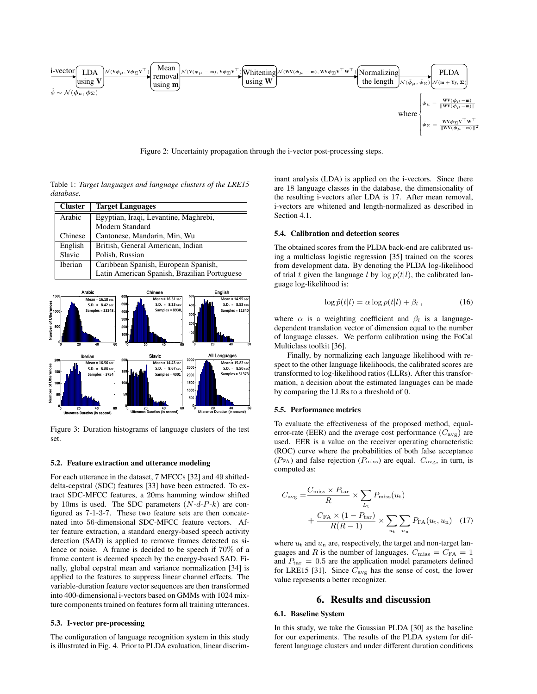

Figure 2: Uncertainty propagation through the i-vector post-processing steps.

Table 1: *Target languages and language clusters of the LRE15 database.*

| <b>Cluster</b> | <b>Target Languages</b>                      |  |  |  |  |  |
|----------------|----------------------------------------------|--|--|--|--|--|
| Arabic         | Egyptian, Iraqi, Levantine, Maghrebi,        |  |  |  |  |  |
|                | Modern Standard                              |  |  |  |  |  |
| Chinese        | Cantonese, Mandarin, Min, Wu                 |  |  |  |  |  |
| English        | British, General American, Indian            |  |  |  |  |  |
| Slavic         | Polish, Russian                              |  |  |  |  |  |
| Iberian        | Caribbean Spanish, European Spanish,         |  |  |  |  |  |
|                | Latin American Spanish, Brazilian Portuguese |  |  |  |  |  |



Figure 3: Duration histograms of language clusters of the test set.

#### 5.2. Feature extraction and utterance modeling

For each utterance in the dataset, 7 MFCCs [32] and 49 shifteddelta-cepstral (SDC) features [33] have been extracted. To extract SDC-MFCC features, a 20ms hamming window shifted by 10ms is used. The SDC parameters  $(N-d-P-k)$  are configured as 7-1-3-7. These two feature sets are then concatenated into 56-dimensional SDC-MFCC feature vectors. After feature extraction, a standard energy-based speech activity detection (SAD) is applied to remove frames detected as silence or noise. A frame is decided to be speech if 70% of a frame content is deemed speech by the energy-based SAD. Finally, global cepstral mean and variance normalization [34] is applied to the features to suppress linear channel effects. The variable-duration feature vector sequences are then transformed into 400-dimensional i-vectors based on GMMs with 1024 mixture components trained on features form all training utterances.

#### 5.3. I-vector pre-processing

The configuration of language recognition system in this study is illustrated in Fig. 4. Prior to PLDA evaluation, linear discriminant analysis (LDA) is applied on the i-vectors. Since there are 18 language classes in the database, the dimensionality of the resulting i-vectors after LDA is 17. After mean removal, i-vectors are whitened and length-normalized as described in Section 4.1.

#### 5.4. Calibration and detection scores

The obtained scores from the PLDA back-end are calibrated using a multiclass logistic regression [35] trained on the scores from development data. By denoting the PLDA log-likelihood of trial t given the language l by  $\log p(t|l)$ , the calibrated language log-likelihood is:

$$
\log \hat{p}(t|l) = \alpha \log p(t|l) + \beta_l , \qquad (16)
$$

where  $\alpha$  is a weighting coefficient and  $\beta_l$  is a languagedependent translation vector of dimension equal to the number of language classes. We perform calibration using the FoCal Multiclass toolkit [36].

Finally, by normalizing each language likelihood with respect to the other language likelihoods, the calibrated scores are transformed to log-likelihood ratios (LLRs). After this transformation, a decision about the estimated languages can be made by comparing the LLRs to a threshold of 0.

#### 5.5. Performance metrics

To evaluate the effectiveness of the proposed method, equalerror-rate (EER) and the average cost performance  $(C_{\text{avg}})$  are used. EER is a value on the receiver operating characteristic (ROC) curve where the probabilities of both false acceptance  $(P_{FA})$  and false rejection  $(P_{miss})$  are equal.  $C_{avg}$ , in turn, is computed as:

$$
C_{\text{avg}} = \frac{C_{\text{miss}} \times P_{\text{tar}}}{R} \times \sum_{L_{\text{t}}} P_{\text{miss}}(u_{\text{t}})
$$

$$
+ \frac{C_{\text{FA}} \times (1 - P_{\text{tar}})}{R(R - 1)} \times \sum_{u_{\text{t}}} \sum_{u_{\text{n}}} P_{\text{FA}}(u_{\text{t}}, u_{\text{n}}) \quad (17)
$$

where  $u_t$  and  $u_n$  are, respectively, the target and non-target languages and R is the number of languages.  $C_{\text{miss}} = C_{\text{FA}} = 1$ and  $P_{\text{tar}} = 0.5$  are the application model parameters defined for LRE15 [31]. Since  $C_{\text{avg}}$  has the sense of cost, the lower value represents a better recognizer.

### 6. Results and discussion

#### 6.1. Baseline System

In this study, we take the Gaussian PLDA [30] as the baseline for our experiments. The results of the PLDA system for different language clusters and under different duration conditions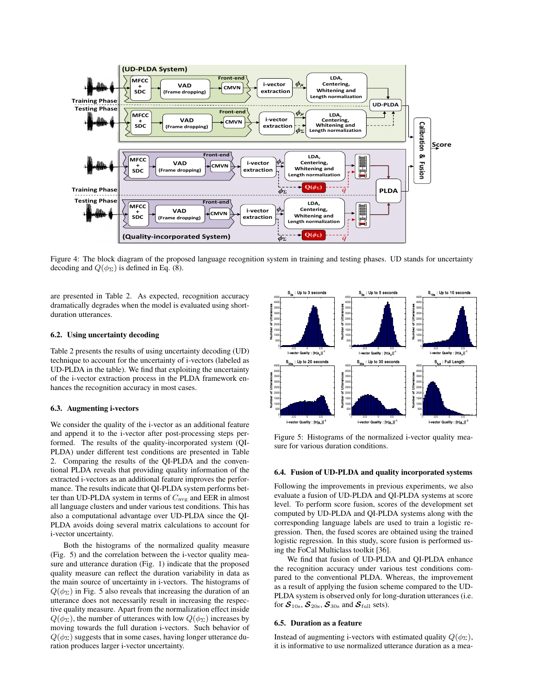

Figure 4: The block diagram of the proposed language recognition system in training and testing phases. UD stands for uncertainty decoding and  $Q(\phi_{\Sigma})$  is defined in Eq. (8).

are presented in Table 2. As expected, recognition accuracy dramatically degrades when the model is evaluated using shortduration utterances.

#### 6.2. Using uncertainty decoding

Table 2 presents the results of using uncertainty decoding (UD) technique to account for the uncertainty of i-vectors (labeled as UD-PLDA in the table). We find that exploiting the uncertainty of the i-vector extraction process in the PLDA framework enhances the recognition accuracy in most cases.

#### 6.3. Augmenting i-vectors

We consider the quality of the i-vector as an additional feature and append it to the i-vector after post-processing steps performed. The results of the quality-incorporated system (QI-PLDA) under different test conditions are presented in Table 2. Comparing the results of the QI-PLDA and the conventional PLDA reveals that providing quality information of the extracted i-vectors as an additional feature improves the performance. The results indicate that QI-PLDA system performs better than UD-PLDA system in terms of  $C_{\text{avg}}$  and EER in almost all language clusters and under various test conditions. This has also a computational advantage over UD-PLDA since the QI-PLDA avoids doing several matrix calculations to account for i-vector uncertainty.

Both the histograms of the normalized quality measure (Fig. 5) and the correlation between the i-vector quality measure and utterance duration (Fig. 1) indicate that the proposed quality measure can reflect the duration variability in data as the main source of uncertainty in i-vectors. The histograms of  $Q(\phi_{\Sigma})$  in Fig. 5 also reveals that increasing the duration of an utterance does not necessarily result in increasing the respective quality measure. Apart from the normalization effect inside  $Q(\phi_{\Sigma})$ , the number of utterances with low  $Q(\phi_{\Sigma})$  increases by moving towards the full duration i-vectors. Such behavior of  $Q(\phi_{\Sigma})$  suggests that in some cases, having longer utterance duration produces larger i-vector uncertainty.



Figure 5: Histograms of the normalized i-vector quality measure for various duration conditions.

#### 6.4. Fusion of UD-PLDA and quality incorporated systems

Following the improvements in previous experiments, we also evaluate a fusion of UD-PLDA and QI-PLDA systems at score level. To perform score fusion, scores of the development set computed by UD-PLDA and QI-PLDA systems along with the corresponding language labels are used to train a logistic regression. Then, the fused scores are obtained using the trained logistic regression. In this study, score fusion is performed using the FoCal Multiclass toolkit [36].

We find that fusion of UD-PLDA and QI-PLDA enhance the recognition accuracy under various test conditions compared to the conventional PLDA. Whereas, the improvement as a result of applying the fusion scheme compared to the UD-PLDA system is observed only for long-duration utterances (i.e. for  $S_{10s}$ ,  $S_{20s}$ ,  $S_{30s}$  and  $S_{full}$  sets).

#### 6.5. Duration as a feature

Instead of augmenting i-vectors with estimated quality  $Q(\phi_{\Sigma})$ , it is informative to use normalized utterance duration as a mea-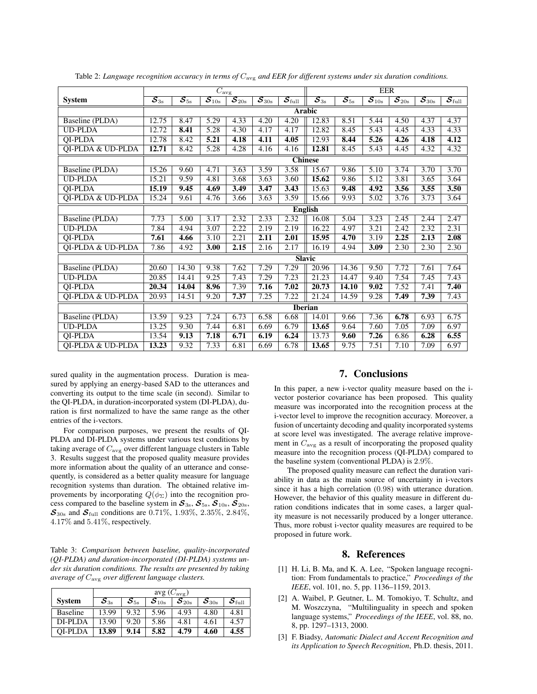|                              | $\overline{C_{\rm avg}}$                                  |                                        |                                       |                                                    |                                         | <b>EER</b>                               |                                        |                                        |                                                      |                                                            |                                                      |                                          |
|------------------------------|-----------------------------------------------------------|----------------------------------------|---------------------------------------|----------------------------------------------------|-----------------------------------------|------------------------------------------|----------------------------------------|----------------------------------------|------------------------------------------------------|------------------------------------------------------------|------------------------------------------------------|------------------------------------------|
| <b>System</b>                | $\overline{\mathcal{S}_{\scriptscriptstyle \mathrm{3s}}}$ | $\overline{\mathcal{S}_{5\mathrm{s}}}$ | $\overline{{\mathcal S}_{10{\rm s}}}$ | $\overline{\boldsymbol{\mathcal{S}}_{20\text{s}}}$ | $\overline{\mathcal{S}_{30\mathrm{s}}}$ | $\overline{\mathcal{S}_{\mathrm{full}}}$ | $\overline{\mathcal{S}_{3\mathrm{s}}}$ | $\overline{\mathcal{S}_{5\mathrm{s}}}$ | $\overline{\boldsymbol{\mathcal{S}}_{10\mathrm{s}}}$ | $\overline{\boldsymbol{\mathcal{S}}}_{20{\textnormal{s}}}$ | $\overline{\boldsymbol{\mathcal{S}}_{30\mathrm{s}}}$ | $\overline{\mathcal{S}_{\mathrm{full}}}$ |
|                              | <b>Arabic</b>                                             |                                        |                                       |                                                    |                                         |                                          |                                        |                                        |                                                      |                                                            |                                                      |                                          |
| Baseline (PLDA)              | 12.75                                                     | 8.47                                   | 5.29                                  | 4.33                                               | 4.20                                    | 4.20                                     | 12.83                                  | 8.51                                   | 5.44                                                 | 4.50                                                       | 4.37                                                 | 4.37                                     |
| <b>UD-PLDA</b>               | 12.72                                                     | 8.41                                   | 5.28                                  | 4.30                                               | 4.17                                    | 4.17                                     | 12.82                                  | 8.45                                   | 5.43                                                 | 4.45                                                       | 4.33                                                 | 4.33                                     |
| <b>OI-PLDA</b>               | 12.78                                                     | 8.42                                   | 5.21                                  | 4.18                                               | 4.11                                    | 4.05                                     | 12.93                                  | 8.44                                   | 5.26                                                 | 4.26                                                       | 4.18                                                 | 4.12                                     |
| QI-PLDA & UD-PLDA            | 12.71                                                     | 8.42                                   | 5.28                                  | 4.28                                               | 4.16                                    | 4.16                                     | 12.81                                  | 8.45                                   | 5.43                                                 | 4.45                                                       | 4.32                                                 | 4.32                                     |
|                              | <b>Chinese</b>                                            |                                        |                                       |                                                    |                                         |                                          |                                        |                                        |                                                      |                                                            |                                                      |                                          |
| Baseline (PLDA)              | 15.26                                                     | 9.60                                   | 4.71                                  | 3.63                                               | 3.59                                    | 3.58                                     | 15.67                                  | 9.86                                   | 5.10                                                 | 3.74                                                       | 3.70                                                 | 3.70                                     |
| <b>UD-PLDA</b>               | 15.21                                                     | 9.59                                   | 4.81                                  | 3.68                                               | 3.63                                    | 3.60                                     | 15.62                                  | 9.86                                   | 5.12                                                 | 3.81                                                       | 3.65                                                 | 3.64                                     |
| <b>OI-PLDA</b>               | 15.19                                                     | 9.45                                   | 4.69                                  | 3.49                                               | 3.47                                    | 3.43                                     | 15.63                                  | 9.48                                   | 4.92                                                 | 3.56                                                       | 3.55                                                 | 3.50                                     |
| QI-PLDA & UD-PLDA            | 15.24                                                     | 9.61                                   | 4.76                                  | 3.66                                               | 3.63                                    | 3.59                                     | 15.66                                  | 9.93                                   | 5.02                                                 | 3.76                                                       | 3.73                                                 | 3.64                                     |
|                              |                                                           |                                        |                                       |                                                    |                                         |                                          | <b>English</b>                         |                                        |                                                      |                                                            |                                                      |                                          |
| <b>Baseline</b> (PLDA)       | 7.73                                                      | 5.00                                   | 3.17                                  | 2.32                                               | 2.33                                    | 2.32                                     | 16.08                                  | 5.04                                   | 3.23                                                 | 2.45                                                       | 2.44                                                 | 2.47                                     |
| <b>UD-PLDA</b>               | 7.84                                                      | 4.94                                   | 3.07                                  | 2.22                                               | 2.19                                    | 2.19                                     | 16.22                                  | 4.97                                   | 3.21                                                 | 2.42                                                       | 2.32                                                 | 2.31                                     |
| <b>OI-PLDA</b>               | 7.61                                                      | 4.66                                   | 3.10                                  | 2.21                                               | 2.11                                    | 2.01                                     | 15.95                                  | 4.70                                   | 3.19                                                 | 2.25                                                       | 2.13                                                 | 2.08                                     |
| <b>QI-PLDA &amp; UD-PLDA</b> | 7.86                                                      | 4.92                                   | 3.00                                  | 2.15                                               | 2.16                                    | 2.17                                     | 16.19                                  | 4.94                                   | 3.09                                                 | 2.30                                                       | 2.30                                                 | 2.30                                     |
|                              | <b>Slavic</b>                                             |                                        |                                       |                                                    |                                         |                                          |                                        |                                        |                                                      |                                                            |                                                      |                                          |
| Baseline (PLDA)              | 20.60                                                     | 14.30                                  | 9.38                                  | 7.62                                               | 7.29                                    | 7.29                                     | 20.96                                  | 14.36                                  | 9.50                                                 | 7.72                                                       | 7.61                                                 | 7.64                                     |
| <b>UD-PLDA</b>               | 20.85                                                     | 14.41                                  | 9.25                                  | 7.43                                               | 7.29                                    | 7.23                                     | 21.23                                  | 14.47                                  | 9.40                                                 | 7.54                                                       | 7.45                                                 | 7.43                                     |
| <b>OI-PLDA</b>               | 20.34                                                     | 14.04                                  | 8.96                                  | 7.39                                               | 7.16                                    | 7.02                                     | 20.73                                  | 14.10                                  | 9.02                                                 | 7.52                                                       | 7.41                                                 | 7.40                                     |
| QI-PLDA & UD-PLDA            | 20.93                                                     | 14.51                                  | 9.20                                  | 7.37                                               | 7.25                                    | 7.22                                     | 21.24                                  | 14.59                                  | 9.28                                                 | 7.49                                                       | 7.39                                                 | 7.43                                     |
|                              | <b>Iberian</b>                                            |                                        |                                       |                                                    |                                         |                                          |                                        |                                        |                                                      |                                                            |                                                      |                                          |
| Baseline (PLDA)              | 13.59                                                     | 9.23                                   | 7.24                                  | 6.73                                               | 6.58                                    | 6.68                                     | 14.01                                  | 9.66                                   | 7.36                                                 | 6.78                                                       | 6.93                                                 | 6.75                                     |
| <b>UD-PLDA</b>               | 13.25                                                     | 9.30                                   | 7.44                                  | 6.81                                               | 6.69                                    | 6.79                                     | 13.65                                  | 9.64                                   | 7.60                                                 | 7.05                                                       | 7.09                                                 | 6.97                                     |
| <b>OI-PLDA</b>               | 13.54                                                     | 9.13                                   | 7.18                                  | 6.71                                               | 6.19                                    | 6.24                                     | 13.73                                  | 9.60                                   | 7.26                                                 | 6.86                                                       | 6.28                                                 | 6.55                                     |
| OI-PLDA & UD-PLDA            | 13.23                                                     | 9.32                                   | 7.33                                  | 6.81                                               | 6.69                                    | 6.78                                     | 13.65                                  | 9.75                                   | 7.51                                                 | 7.10                                                       | 7.09                                                 | 6.97                                     |

Table 2: *Language recognition accuracy in terms of* Cavg *and EER for different systems under six duration conditions.*

sured quality in the augmentation process. Duration is measured by applying an energy-based SAD to the utterances and converting its output to the time scale (in second). Similar to the QI-PLDA, in duration-incorporated system (DI-PLDA), duration is first normalized to have the same range as the other entries of the i-vectors.

For comparison purposes, we present the results of QI-PLDA and DI-PLDA systems under various test conditions by taking average of  $C_{\text{avg}}$  over different language clusters in Table 3. Results suggest that the proposed quality measure provides more information about the quality of an utterance and consequently, is considered as a better quality measure for language recognition systems than duration. The obtained relative improvements by incorporating  $Q(\phi_{\Sigma})$  into the recognition process compared to the baseline system in  $S_{3s}$ ,  $S_{5s}$ ,  $S_{10s}$ ,  $S_{20s}$ ,  $S_{30s}$  and  $S_{\text{full}}$  conditions are 0.71%, 1.93%, 2.35%, 2.84%, 4.17% and 5.41%, respectively.

Table 3: *Comparison between baseline, quality-incorporated (QI-PLDA) and duration-incorporated (DI-PLDA) systems under six duration conditions. The results are presented by taking average of* Cavg *over different language clusters.*

|                 | avg $(C_{\text{avg}})$ |          |                      |                      |           |                       |  |  |  |
|-----------------|------------------------|----------|----------------------|----------------------|-----------|-----------------------|--|--|--|
| <b>System</b>   | $S_{3s}$               | $S_{5s}$ | ${\cal S}_{\rm 10s}$ | ${\cal S}_{\rm 20s}$ | $S_{30s}$ | ${\cal S}_{\rm full}$ |  |  |  |
| <b>Baseline</b> | 13.99                  | 9.32     | 5.96                 | 4.93                 | 4.80      | 4.81                  |  |  |  |
| DI-PLDA         | 13.90                  | 9.20     | 5.86                 | 4.81                 | 4.61      | 4.57                  |  |  |  |
| OI-PLDA         | 13.89                  | 9.14     | 5.82                 | 4.79                 | 4.60      | 4.55                  |  |  |  |

## 7. Conclusions

In this paper, a new i-vector quality measure based on the ivector posterior covariance has been proposed. This quality measure was incorporated into the recognition process at the i-vector level to improve the recognition accuracy. Moreover, a fusion of uncertainty decoding and quality incorporated systems at score level was investigated. The average relative improvement in  $C_{\text{avg}}$  as a result of incorporating the proposed quality measure into the recognition process (QI-PLDA) compared to the baseline system (conventional PLDA) is 2.9%.

The proposed quality measure can reflect the duration variability in data as the main source of uncertainty in i-vectors since it has a high correlation (0.98) with utterance duration. However, the behavior of this quality measure in different duration conditions indicates that in some cases, a larger quality measure is not necessarily produced by a longer utterance. Thus, more robust i-vector quality measures are required to be proposed in future work.

#### 8. References

- [1] H. Li, B. Ma, and K. A. Lee, "Spoken language recognition: From fundamentals to practice," *Proceedings of the IEEE*, vol. 101, no. 5, pp. 1136–1159, 2013.
- [2] A. Waibel, P. Geutner, L. M. Tomokiyo, T. Schultz, and M. Woszczyna, "Multilinguality in speech and spoken language systems," *Proceedings of the IEEE*, vol. 88, no. 8, pp. 1297–1313, 2000.
- [3] F. Biadsy, *Automatic Dialect and Accent Recognition and its Application to Speech Recognition*, Ph.D. thesis, 2011.